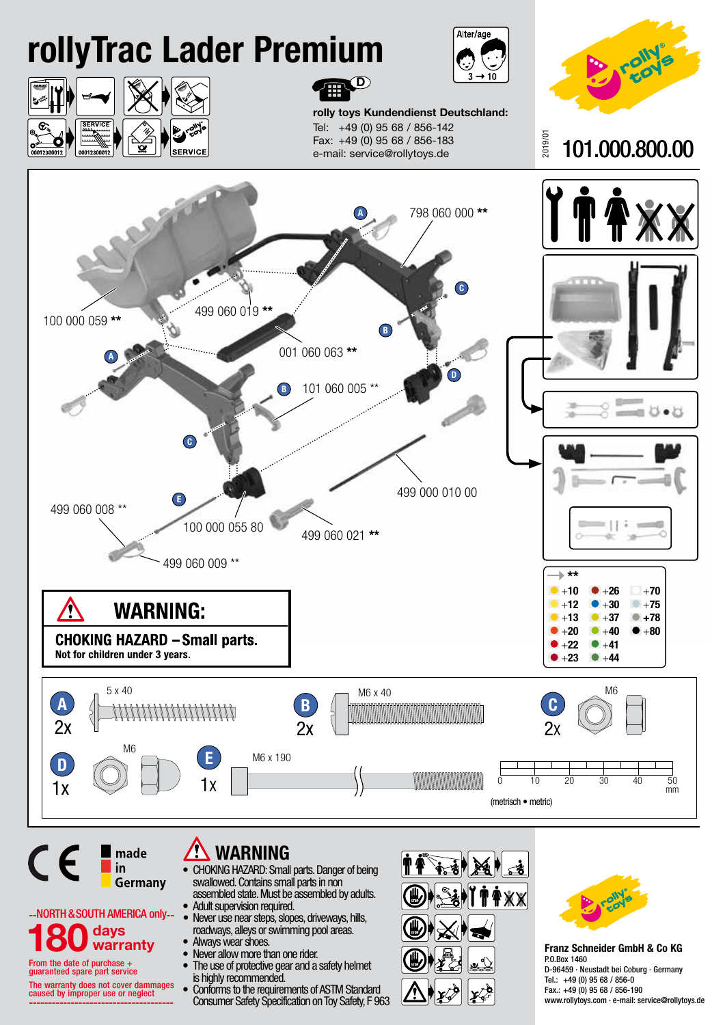

The warranty does not cover dammages caused by improper use or neglect --------------------------------------

• Conforms to the requirements of ASTM Standard Consumer Safety Specification on Toy Safety, F 963



Fax.: +49 (0) 95 68 / 856-190 www.rollytoys.com · e-mail: service@rollytoys.de